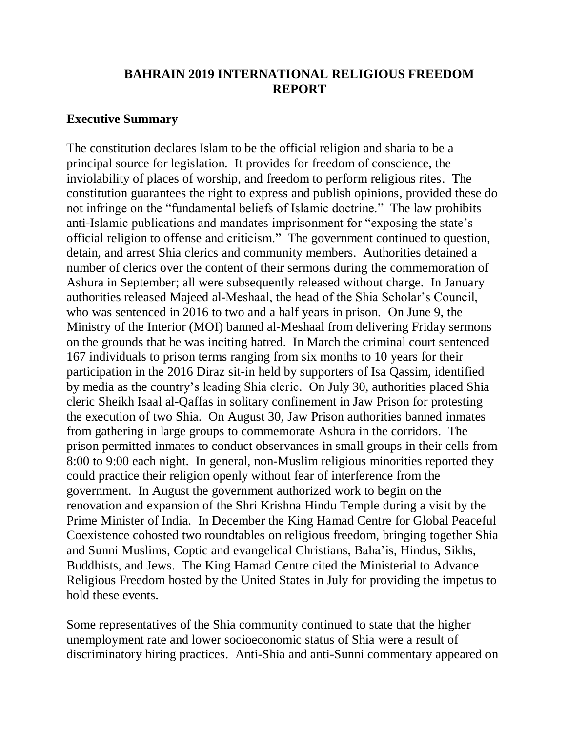# **BAHRAIN 2019 INTERNATIONAL RELIGIOUS FREEDOM REPORT**

### **Executive Summary**

The constitution declares Islam to be the official religion and sharia to be a principal source for legislation. It provides for freedom of conscience, the inviolability of places of worship, and freedom to perform religious rites. The constitution guarantees the right to express and publish opinions, provided these do not infringe on the "fundamental beliefs of Islamic doctrine." The law prohibits anti-Islamic publications and mandates imprisonment for "exposing the state's official religion to offense and criticism." The government continued to question, detain, and arrest Shia clerics and community members. Authorities detained a number of clerics over the content of their sermons during the commemoration of Ashura in September; all were subsequently released without charge. In January authorities released Majeed al-Meshaal, the head of the Shia Scholar's Council, who was sentenced in 2016 to two and a half years in prison. On June 9, the Ministry of the Interior (MOI) banned al-Meshaal from delivering Friday sermons on the grounds that he was inciting hatred. In March the criminal court sentenced 167 individuals to prison terms ranging from six months to 10 years for their participation in the 2016 Diraz sit-in held by supporters of Isa Qassim, identified by media as the country's leading Shia cleric. On July 30, authorities placed Shia cleric Sheikh Isaal al-Qaffas in solitary confinement in Jaw Prison for protesting the execution of two Shia. On August 30, Jaw Prison authorities banned inmates from gathering in large groups to commemorate Ashura in the corridors. The prison permitted inmates to conduct observances in small groups in their cells from 8:00 to 9:00 each night. In general, non-Muslim religious minorities reported they could practice their religion openly without fear of interference from the government. In August the government authorized work to begin on the renovation and expansion of the Shri Krishna Hindu Temple during a visit by the Prime Minister of India. In December the King Hamad Centre for Global Peaceful Coexistence cohosted two roundtables on religious freedom, bringing together Shia and Sunni Muslims, Coptic and evangelical Christians, Baha'is, Hindus, Sikhs, Buddhists, and Jews. The King Hamad Centre cited the Ministerial to Advance Religious Freedom hosted by the United States in July for providing the impetus to hold these events.

Some representatives of the Shia community continued to state that the higher unemployment rate and lower socioeconomic status of Shia were a result of discriminatory hiring practices. Anti-Shia and anti-Sunni commentary appeared on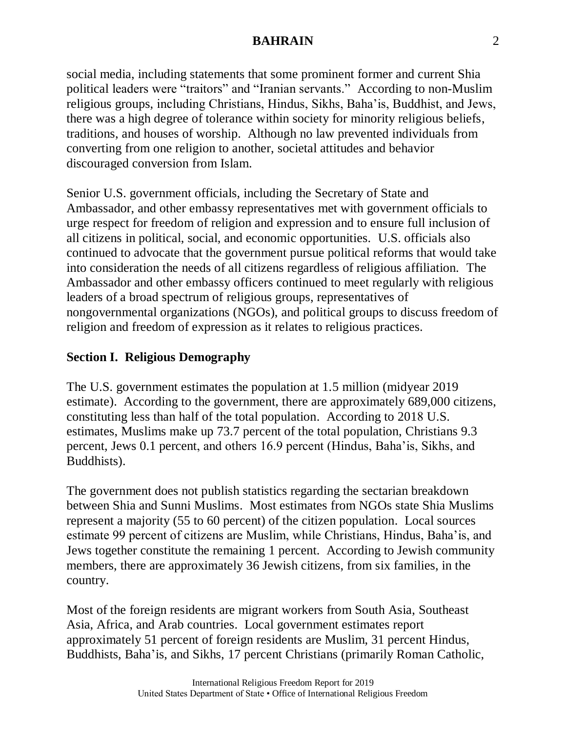social media, including statements that some prominent former and current Shia political leaders were "traitors" and "Iranian servants." According to non-Muslim religious groups, including Christians, Hindus, Sikhs, Baha'is, Buddhist, and Jews, there was a high degree of tolerance within society for minority religious beliefs, traditions, and houses of worship. Although no law prevented individuals from converting from one religion to another, societal attitudes and behavior discouraged conversion from Islam.

Senior U.S. government officials, including the Secretary of State and Ambassador, and other embassy representatives met with government officials to urge respect for freedom of religion and expression and to ensure full inclusion of all citizens in political, social, and economic opportunities. U.S. officials also continued to advocate that the government pursue political reforms that would take into consideration the needs of all citizens regardless of religious affiliation. The Ambassador and other embassy officers continued to meet regularly with religious leaders of a broad spectrum of religious groups, representatives of nongovernmental organizations (NGOs), and political groups to discuss freedom of religion and freedom of expression as it relates to religious practices.

# **Section I. Religious Demography**

The U.S. government estimates the population at 1.5 million (midyear 2019 estimate). According to the government, there are approximately 689,000 citizens, constituting less than half of the total population. According to 2018 U.S. estimates, Muslims make up 73.7 percent of the total population, Christians 9.3 percent, Jews 0.1 percent, and others 16.9 percent (Hindus, Baha'is, Sikhs, and Buddhists).

The government does not publish statistics regarding the sectarian breakdown between Shia and Sunni Muslims. Most estimates from NGOs state Shia Muslims represent a majority (55 to 60 percent) of the citizen population. Local sources estimate 99 percent of citizens are Muslim, while Christians, Hindus, Baha'is, and Jews together constitute the remaining 1 percent. According to Jewish community members, there are approximately 36 Jewish citizens, from six families, in the country.

Most of the foreign residents are migrant workers from South Asia, Southeast Asia, Africa, and Arab countries. Local government estimates report approximately 51 percent of foreign residents are Muslim, 31 percent Hindus, Buddhists, Baha'is, and Sikhs, 17 percent Christians (primarily Roman Catholic,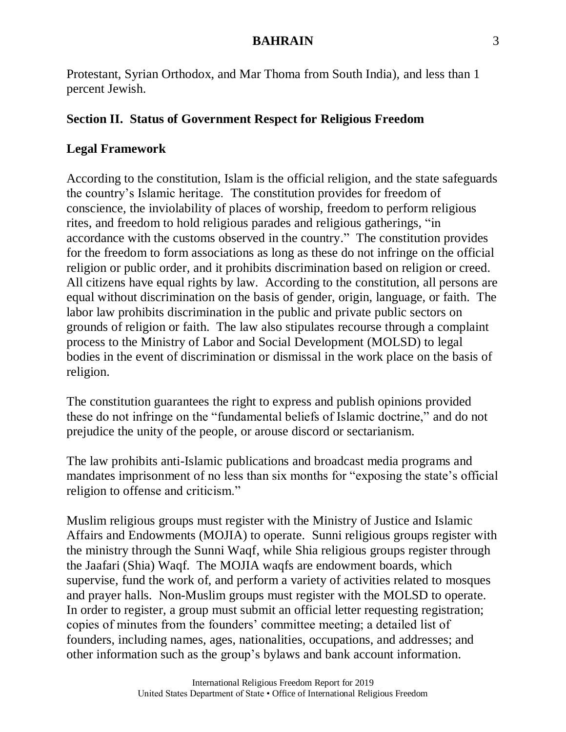Protestant, Syrian Orthodox, and Mar Thoma from South India), and less than 1 percent Jewish.

# **Section II. Status of Government Respect for Religious Freedom**

# **Legal Framework**

According to the constitution, Islam is the official religion, and the state safeguards the country's Islamic heritage. The constitution provides for freedom of conscience, the inviolability of places of worship, freedom to perform religious rites, and freedom to hold religious parades and religious gatherings, "in accordance with the customs observed in the country." The constitution provides for the freedom to form associations as long as these do not infringe on the official religion or public order, and it prohibits discrimination based on religion or creed. All citizens have equal rights by law. According to the constitution, all persons are equal without discrimination on the basis of gender, origin, language, or faith. The labor law prohibits discrimination in the public and private public sectors on grounds of religion or faith. The law also stipulates recourse through a complaint process to the Ministry of Labor and Social Development (MOLSD) to legal bodies in the event of discrimination or dismissal in the work place on the basis of religion.

The constitution guarantees the right to express and publish opinions provided these do not infringe on the "fundamental beliefs of Islamic doctrine," and do not prejudice the unity of the people, or arouse discord or sectarianism.

The law prohibits anti-Islamic publications and broadcast media programs and mandates imprisonment of no less than six months for "exposing the state's official religion to offense and criticism."

Muslim religious groups must register with the Ministry of Justice and Islamic Affairs and Endowments (MOJIA) to operate. Sunni religious groups register with the ministry through the Sunni Waqf, while Shia religious groups register through the Jaafari (Shia) Waqf. The MOJIA waqfs are endowment boards, which supervise, fund the work of, and perform a variety of activities related to mosques and prayer halls. Non-Muslim groups must register with the MOLSD to operate. In order to register, a group must submit an official letter requesting registration; copies of minutes from the founders' committee meeting; a detailed list of founders, including names, ages, nationalities, occupations, and addresses; and other information such as the group's bylaws and bank account information.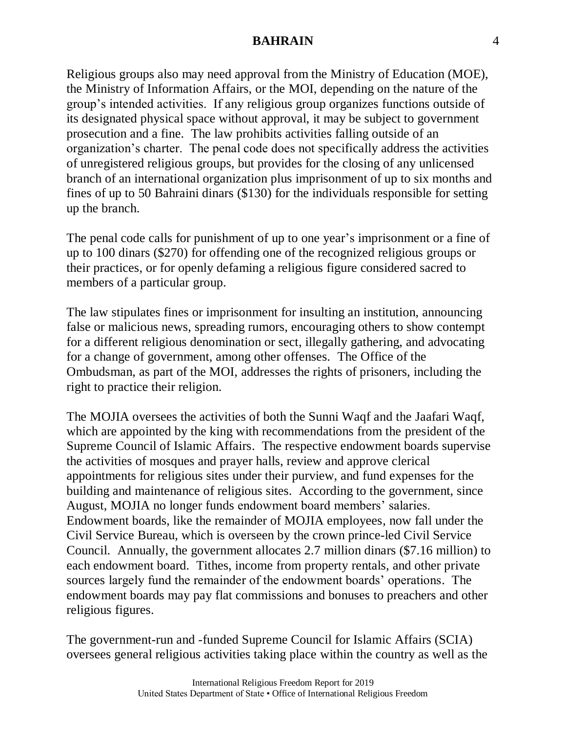Religious groups also may need approval from the Ministry of Education (MOE), the Ministry of Information Affairs, or the MOI, depending on the nature of the group's intended activities. If any religious group organizes functions outside of its designated physical space without approval, it may be subject to government prosecution and a fine. The law prohibits activities falling outside of an organization's charter. The penal code does not specifically address the activities of unregistered religious groups, but provides for the closing of any unlicensed branch of an international organization plus imprisonment of up to six months and fines of up to 50 Bahraini dinars (\$130) for the individuals responsible for setting up the branch.

The penal code calls for punishment of up to one year's imprisonment or a fine of up to 100 dinars (\$270) for offending one of the recognized religious groups or their practices, or for openly defaming a religious figure considered sacred to members of a particular group.

The law stipulates fines or imprisonment for insulting an institution, announcing false or malicious news, spreading rumors, encouraging others to show contempt for a different religious denomination or sect, illegally gathering, and advocating for a change of government, among other offenses. The Office of the Ombudsman, as part of the MOI, addresses the rights of prisoners, including the right to practice their religion.

The MOJIA oversees the activities of both the Sunni Waqf and the Jaafari Waqf, which are appointed by the king with recommendations from the president of the Supreme Council of Islamic Affairs. The respective endowment boards supervise the activities of mosques and prayer halls, review and approve clerical appointments for religious sites under their purview, and fund expenses for the building and maintenance of religious sites. According to the government, since August, MOJIA no longer funds endowment board members' salaries. Endowment boards, like the remainder of MOJIA employees, now fall under the Civil Service Bureau, which is overseen by the crown prince-led Civil Service Council. Annually, the government allocates 2.7 million dinars (\$7.16 million) to each endowment board. Tithes, income from property rentals, and other private sources largely fund the remainder of the endowment boards' operations. The endowment boards may pay flat commissions and bonuses to preachers and other religious figures.

The government-run and -funded Supreme Council for Islamic Affairs (SCIA) oversees general religious activities taking place within the country as well as the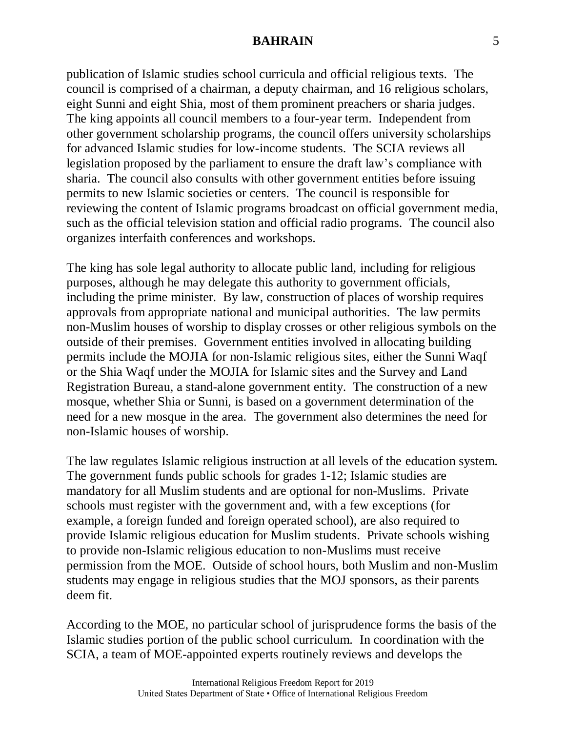publication of Islamic studies school curricula and official religious texts. The council is comprised of a chairman, a deputy chairman, and 16 religious scholars, eight Sunni and eight Shia, most of them prominent preachers or sharia judges. The king appoints all council members to a four-year term. Independent from other government scholarship programs, the council offers university scholarships for advanced Islamic studies for low-income students. The SCIA reviews all legislation proposed by the parliament to ensure the draft law's compliance with sharia. The council also consults with other government entities before issuing permits to new Islamic societies or centers. The council is responsible for reviewing the content of Islamic programs broadcast on official government media, such as the official television station and official radio programs. The council also organizes interfaith conferences and workshops.

The king has sole legal authority to allocate public land, including for religious purposes, although he may delegate this authority to government officials, including the prime minister. By law, construction of places of worship requires approvals from appropriate national and municipal authorities. The law permits non-Muslim houses of worship to display crosses or other religious symbols on the outside of their premises. Government entities involved in allocating building permits include the MOJIA for non-Islamic religious sites, either the Sunni Waqf or the Shia Waqf under the MOJIA for Islamic sites and the Survey and Land Registration Bureau, a stand-alone government entity. The construction of a new mosque, whether Shia or Sunni, is based on a government determination of the need for a new mosque in the area. The government also determines the need for non-Islamic houses of worship.

The law regulates Islamic religious instruction at all levels of the education system. The government funds public schools for grades 1-12; Islamic studies are mandatory for all Muslim students and are optional for non-Muslims. Private schools must register with the government and, with a few exceptions (for example, a foreign funded and foreign operated school), are also required to provide Islamic religious education for Muslim students. Private schools wishing to provide non-Islamic religious education to non-Muslims must receive permission from the MOE. Outside of school hours, both Muslim and non-Muslim students may engage in religious studies that the MOJ sponsors, as their parents deem fit.

According to the MOE, no particular school of jurisprudence forms the basis of the Islamic studies portion of the public school curriculum. In coordination with the SCIA, a team of MOE-appointed experts routinely reviews and develops the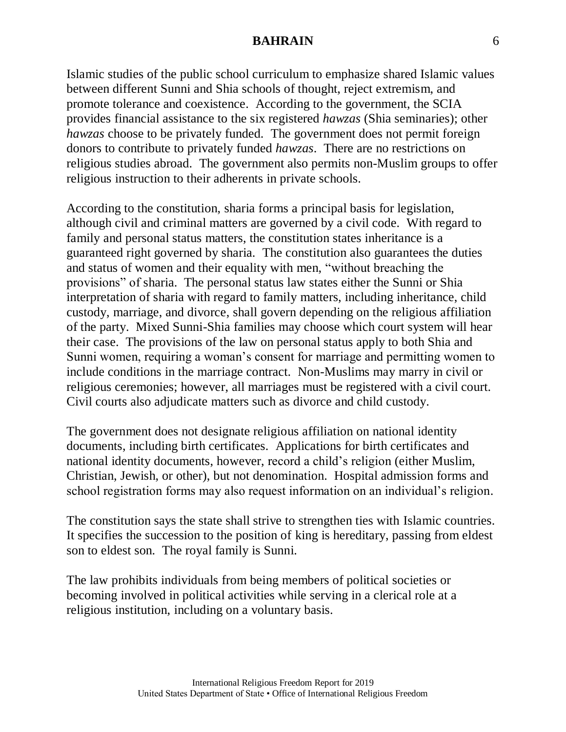Islamic studies of the public school curriculum to emphasize shared Islamic values between different Sunni and Shia schools of thought, reject extremism, and promote tolerance and coexistence. According to the government, the SCIA provides financial assistance to the six registered *hawzas* (Shia seminaries); other *hawzas* choose to be privately funded. The government does not permit foreign donors to contribute to privately funded *hawzas*. There are no restrictions on religious studies abroad. The government also permits non-Muslim groups to offer religious instruction to their adherents in private schools.

According to the constitution, sharia forms a principal basis for legislation, although civil and criminal matters are governed by a civil code. With regard to family and personal status matters, the constitution states inheritance is a guaranteed right governed by sharia. The constitution also guarantees the duties and status of women and their equality with men, "without breaching the provisions" of sharia. The personal status law states either the Sunni or Shia interpretation of sharia with regard to family matters, including inheritance, child custody, marriage, and divorce, shall govern depending on the religious affiliation of the party. Mixed Sunni-Shia families may choose which court system will hear their case. The provisions of the law on personal status apply to both Shia and Sunni women, requiring a woman's consent for marriage and permitting women to include conditions in the marriage contract. Non-Muslims may marry in civil or religious ceremonies; however, all marriages must be registered with a civil court. Civil courts also adjudicate matters such as divorce and child custody.

The government does not designate religious affiliation on national identity documents, including birth certificates. Applications for birth certificates and national identity documents, however, record a child's religion (either Muslim, Christian, Jewish, or other), but not denomination. Hospital admission forms and school registration forms may also request information on an individual's religion.

The constitution says the state shall strive to strengthen ties with Islamic countries. It specifies the succession to the position of king is hereditary, passing from eldest son to eldest son. The royal family is Sunni.

The law prohibits individuals from being members of political societies or becoming involved in political activities while serving in a clerical role at a religious institution, including on a voluntary basis.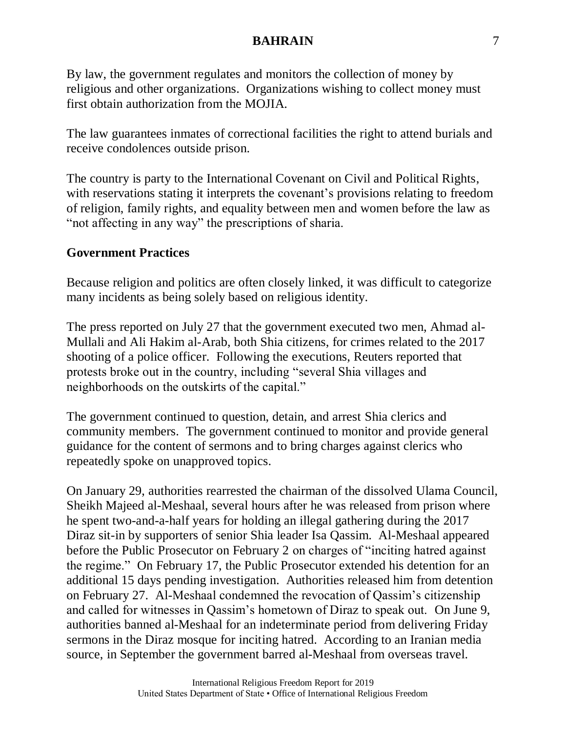By law, the government regulates and monitors the collection of money by religious and other organizations. Organizations wishing to collect money must first obtain authorization from the MOJIA.

The law guarantees inmates of correctional facilities the right to attend burials and receive condolences outside prison.

The country is party to the International Covenant on Civil and Political Rights, with reservations stating it interprets the covenant's provisions relating to freedom of religion, family rights, and equality between men and women before the law as "not affecting in any way" the prescriptions of sharia.

# **Government Practices**

Because religion and politics are often closely linked, it was difficult to categorize many incidents as being solely based on religious identity.

The press reported on July 27 that the government executed two men, Ahmad al-Mullali and Ali Hakim al-Arab, both Shia citizens, for crimes related to the 2017 shooting of a police officer. Following the executions, Reuters reported that protests broke out in the country, including "several Shia villages and neighborhoods on the outskirts of the capital."

The government continued to question, detain, and arrest Shia clerics and community members. The government continued to monitor and provide general guidance for the content of sermons and to bring charges against clerics who repeatedly spoke on unapproved topics.

On January 29, authorities rearrested the chairman of the dissolved Ulama Council, Sheikh Majeed al-Meshaal, several hours after he was released from prison where he spent two-and-a-half years for holding an illegal gathering during the 2017 Diraz sit-in by supporters of senior Shia leader Isa Qassim. Al-Meshaal appeared before the Public Prosecutor on February 2 on charges of "inciting hatred against the regime." On February 17, the Public Prosecutor extended his detention for an additional 15 days pending investigation. Authorities released him from detention on February 27. Al-Meshaal condemned the revocation of Qassim's citizenship and called for witnesses in Qassim's hometown of Diraz to speak out. On June 9, authorities banned al-Meshaal for an indeterminate period from delivering Friday sermons in the Diraz mosque for inciting hatred. According to an Iranian media source, in September the government barred al-Meshaal from overseas travel.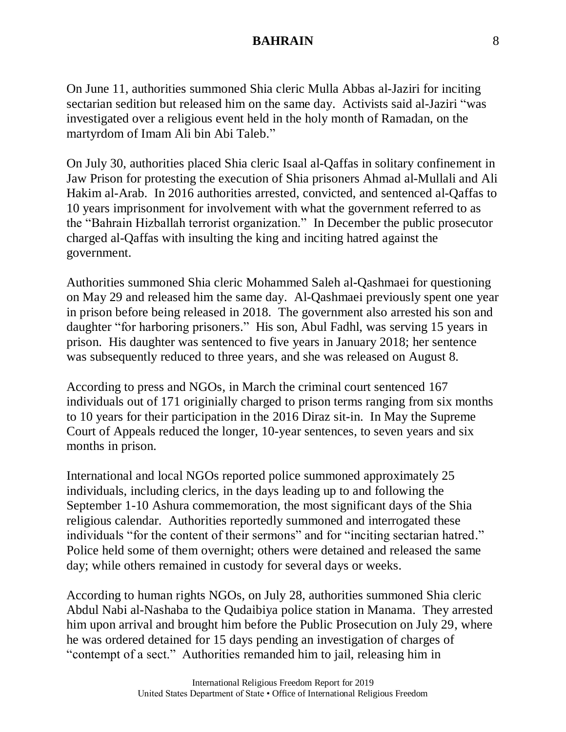On June 11, authorities summoned Shia cleric Mulla Abbas al-Jaziri for inciting sectarian sedition but released him on the same day. Activists said al-Jaziri "was investigated over a religious event held in the holy month of Ramadan, on the martyrdom of Imam Ali bin Abi Taleb."

On July 30, authorities placed Shia cleric Isaal al-Qaffas in solitary confinement in Jaw Prison for protesting the execution of Shia prisoners Ahmad al-Mullali and Ali Hakim al-Arab. In 2016 authorities arrested, convicted, and sentenced al-Qaffas to 10 years imprisonment for involvement with what the government referred to as the "Bahrain Hizballah terrorist organization." In December the public prosecutor charged al-Qaffas with insulting the king and inciting hatred against the government.

Authorities summoned Shia cleric Mohammed Saleh al-Qashmaei for questioning on May 29 and released him the same day. Al-Qashmaei previously spent one year in prison before being released in 2018. The government also arrested his son and daughter "for harboring prisoners." His son, Abul Fadhl, was serving 15 years in prison. His daughter was sentenced to five years in January 2018; her sentence was subsequently reduced to three years, and she was released on August 8.

According to press and NGOs, in March the criminal court sentenced 167 individuals out of 171 originially charged to prison terms ranging from six months to 10 years for their participation in the 2016 Diraz sit-in. In May the Supreme Court of Appeals reduced the longer, 10-year sentences, to seven years and six months in prison.

International and local NGOs reported police summoned approximately 25 individuals, including clerics, in the days leading up to and following the September 1-10 Ashura commemoration, the most significant days of the Shia religious calendar. Authorities reportedly summoned and interrogated these individuals "for the content of their sermons" and for "inciting sectarian hatred." Police held some of them overnight; others were detained and released the same day; while others remained in custody for several days or weeks.

According to human rights NGOs, on July 28, authorities summoned Shia cleric Abdul Nabi al-Nashaba to the Qudaibiya police station in Manama. They arrested him upon arrival and brought him before the Public Prosecution on July 29, where he was ordered detained for 15 days pending an investigation of charges of "contempt of a sect." Authorities remanded him to jail, releasing him in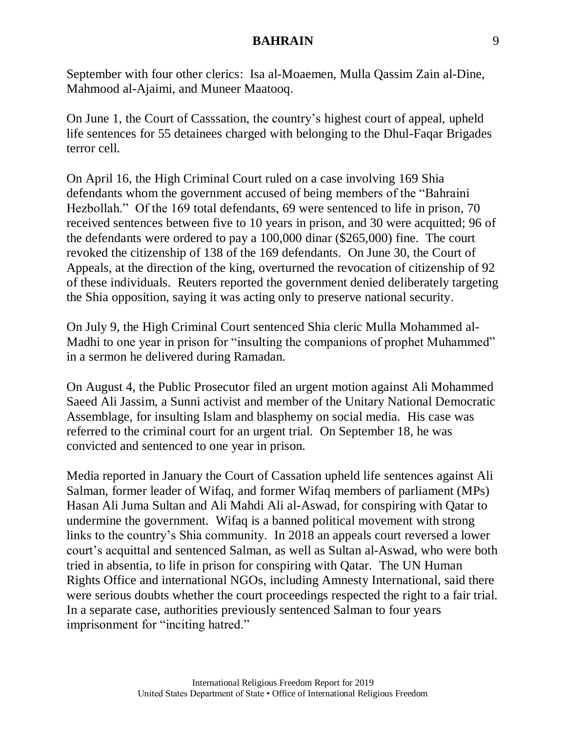September with four other clerics: Isa al-Moaemen, Mulla Qassim Zain al-Dine, Mahmood al-Ajaimi, and Muneer Maatooq.

On June 1, the Court of Casssation, the country's highest court of appeal, upheld life sentences for 55 detainees charged with belonging to the Dhul-Faqar Brigades terror cell.

On April 16, the High Criminal Court ruled on a case involving 169 Shia defendants whom the government accused of being members of the "Bahraini Hezbollah." Of the 169 total defendants, 69 were sentenced to life in prison, 70 received sentences between five to 10 years in prison, and 30 were acquitted; 96 of the defendants were ordered to pay a 100,000 dinar (\$265,000) fine. The court revoked the citizenship of 138 of the 169 defendants. On June 30, the Court of Appeals, at the direction of the king, overturned the revocation of citizenship of 92 of these individuals. Reuters reported the government denied deliberately targeting the Shia opposition, saying it was acting only to preserve national security.

On July 9, the High Criminal Court sentenced Shia cleric Mulla Mohammed al-Madhi to one year in prison for "insulting the companions of prophet Muhammed" in a sermon he delivered during Ramadan.

On August 4, the Public Prosecutor filed an urgent motion against Ali Mohammed Saeed Ali Jassim, a Sunni activist and member of the Unitary National Democratic Assemblage, for insulting Islam and blasphemy on social media. His case was referred to the criminal court for an urgent trial. On September 18, he was convicted and sentenced to one year in prison.

Media reported in January the Court of Cassation upheld life sentences against Ali Salman, former leader of Wifaq, and former Wifaq members of parliament (MPs) Hasan Ali Juma Sultan and Ali Mahdi Ali al-Aswad, for conspiring with Qatar to undermine the government. Wifaq is a banned political movement with strong links to the country's Shia community. In 2018 an appeals court reversed a lower court's acquittal and sentenced Salman, as well as Sultan al-Aswad, who were both tried in absentia, to life in prison for conspiring with Qatar. The UN Human Rights Office and international NGOs, including Amnesty International, said there were serious doubts whether the court proceedings respected the right to a fair trial. In a separate case, authorities previously sentenced Salman to four years imprisonment for "inciting hatred."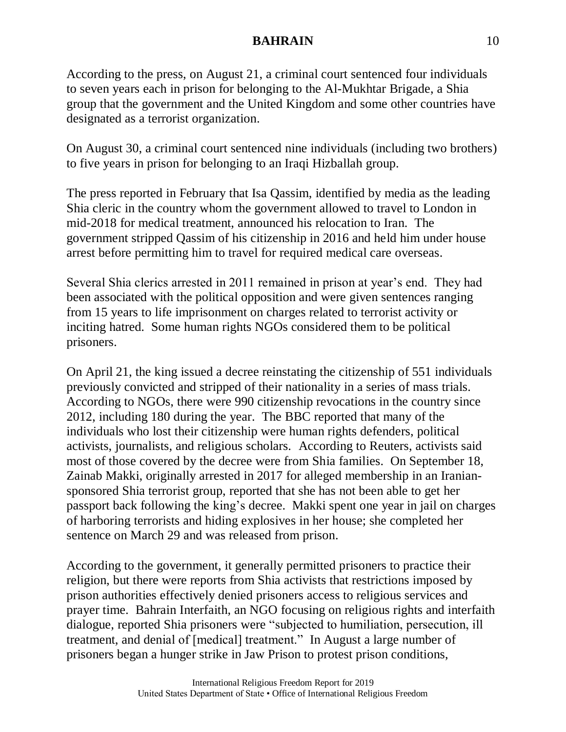According to the press, on August 21, a criminal court sentenced four individuals to seven years each in prison for belonging to the Al-Mukhtar Brigade, a Shia group that the government and the United Kingdom and some other countries have designated as a terrorist organization.

On August 30, a criminal court sentenced nine individuals (including two brothers) to five years in prison for belonging to an Iraqi Hizballah group.

The press reported in February that Isa Qassim, identified by media as the leading Shia cleric in the country whom the government allowed to travel to London in mid-2018 for medical treatment, announced his relocation to Iran. The government stripped Qassim of his citizenship in 2016 and held him under house arrest before permitting him to travel for required medical care overseas.

Several Shia clerics arrested in 2011 remained in prison at year's end. They had been associated with the political opposition and were given sentences ranging from 15 years to life imprisonment on charges related to terrorist activity or inciting hatred. Some human rights NGOs considered them to be political prisoners.

On April 21, the king issued a decree reinstating the citizenship of 551 individuals previously convicted and stripped of their nationality in a series of mass trials. According to NGOs, there were 990 citizenship revocations in the country since 2012, including 180 during the year. The BBC reported that many of the individuals who lost their citizenship were human rights defenders, political activists, journalists, and religious scholars. According to Reuters, activists said most of those covered by the decree were from Shia families. On September 18, Zainab Makki, originally arrested in 2017 for alleged membership in an Iraniansponsored Shia terrorist group, reported that she has not been able to get her passport back following the king's decree. Makki spent one year in jail on charges of harboring terrorists and hiding explosives in her house; she completed her sentence on March 29 and was released from prison.

According to the government, it generally permitted prisoners to practice their religion, but there were reports from Shia activists that restrictions imposed by prison authorities effectively denied prisoners access to religious services and prayer time. Bahrain Interfaith, an NGO focusing on religious rights and interfaith dialogue, reported Shia prisoners were "subjected to humiliation, persecution, ill treatment, and denial of [medical] treatment." In August a large number of prisoners began a hunger strike in Jaw Prison to protest prison conditions,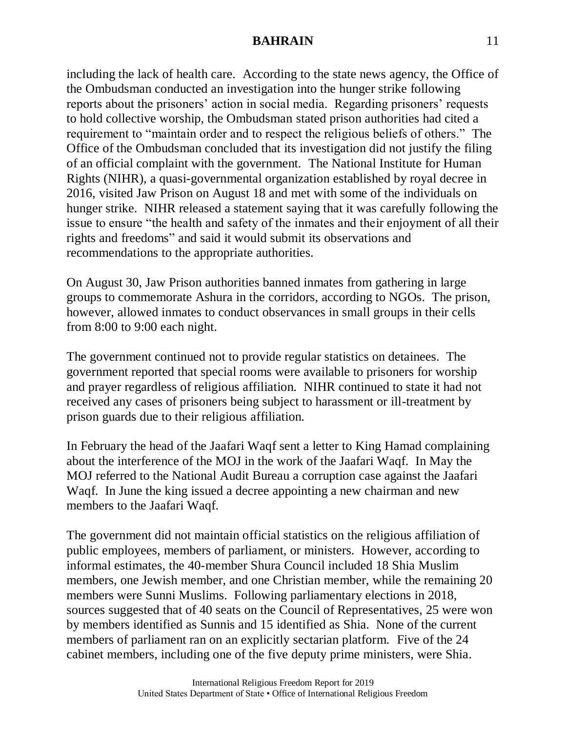including the lack of health care. According to the state news agency, the Office of the Ombudsman conducted an investigation into the hunger strike following reports about the prisoners' action in social media. Regarding prisoners' requests to hold collective worship, the Ombudsman stated prison authorities had cited a requirement to "maintain order and to respect the religious beliefs of others." The Office of the Ombudsman concluded that its investigation did not justify the filing of an official complaint with the government. The National Institute for Human Rights (NIHR), a quasi-governmental organization established by royal decree in 2016, visited Jaw Prison on August 18 and met with some of the individuals on hunger strike. NIHR released a statement saying that it was carefully following the issue to ensure "the health and safety of the inmates and their enjoyment of all their rights and freedoms" and said it would submit its observations and recommendations to the appropriate authorities.

On August 30, Jaw Prison authorities banned inmates from gathering in large groups to commemorate Ashura in the corridors, according to NGOs. The prison, however, allowed inmates to conduct observances in small groups in their cells from 8:00 to 9:00 each night.

The government continued not to provide regular statistics on detainees. The government reported that special rooms were available to prisoners for worship and prayer regardless of religious affiliation. NIHR continued to state it had not received any cases of prisoners being subject to harassment or ill-treatment by prison guards due to their religious affiliation.

In February the head of the Jaafari Waqf sent a letter to King Hamad complaining about the interference of the MOJ in the work of the Jaafari Waqf. In May the MOJ referred to the National Audit Bureau a corruption case against the Jaafari Waqf. In June the king issued a decree appointing a new chairman and new members to the Jaafari Waqf.

The government did not maintain official statistics on the religious affiliation of public employees, members of parliament, or ministers. However, according to informal estimates, the 40-member Shura Council included 18 Shia Muslim members, one Jewish member, and one Christian member, while the remaining 20 members were Sunni Muslims. Following parliamentary elections in 2018, sources suggested that of 40 seats on the Council of Representatives, 25 were won by members identified as Sunnis and 15 identified as Shia. None of the current members of parliament ran on an explicitly sectarian platform. Five of the 24 cabinet members, including one of the five deputy prime ministers, were Shia.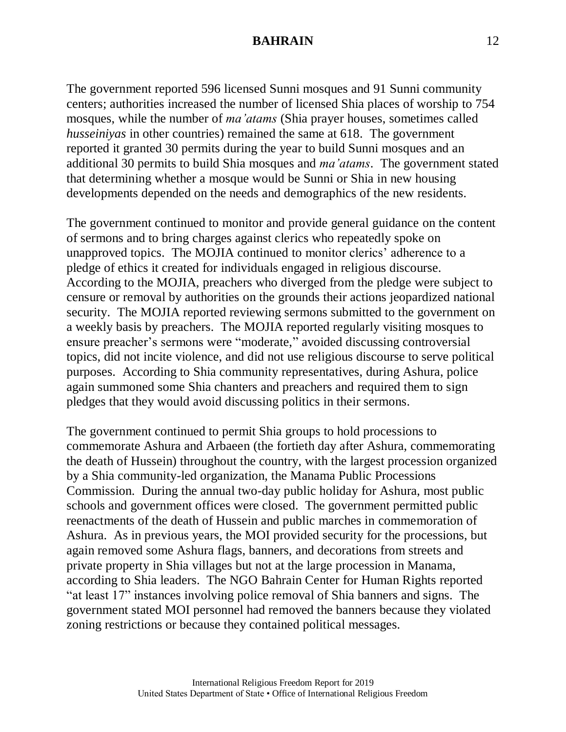The government reported 596 licensed Sunni mosques and 91 Sunni community centers; authorities increased the number of licensed Shia places of worship to 754 mosques, while the number of *ma'atams* (Shia prayer houses, sometimes called *husseiniyas* in other countries) remained the same at 618. The government reported it granted 30 permits during the year to build Sunni mosques and an additional 30 permits to build Shia mosques and *ma'atams*. The government stated that determining whether a mosque would be Sunni or Shia in new housing developments depended on the needs and demographics of the new residents.

The government continued to monitor and provide general guidance on the content of sermons and to bring charges against clerics who repeatedly spoke on unapproved topics. The MOJIA continued to monitor clerics' adherence to a pledge of ethics it created for individuals engaged in religious discourse. According to the MOJIA, preachers who diverged from the pledge were subject to censure or removal by authorities on the grounds their actions jeopardized national security. The MOJIA reported reviewing sermons submitted to the government on a weekly basis by preachers. The MOJIA reported regularly visiting mosques to ensure preacher's sermons were "moderate," avoided discussing controversial topics, did not incite violence, and did not use religious discourse to serve political purposes. According to Shia community representatives, during Ashura, police again summoned some Shia chanters and preachers and required them to sign pledges that they would avoid discussing politics in their sermons.

The government continued to permit Shia groups to hold processions to commemorate Ashura and Arbaeen (the fortieth day after Ashura, commemorating the death of Hussein) throughout the country, with the largest procession organized by a Shia community-led organization, the Manama Public Processions Commission. During the annual two-day public holiday for Ashura, most public schools and government offices were closed. The government permitted public reenactments of the death of Hussein and public marches in commemoration of Ashura. As in previous years, the MOI provided security for the processions, but again removed some Ashura flags, banners, and decorations from streets and private property in Shia villages but not at the large procession in Manama, according to Shia leaders. The NGO Bahrain Center for Human Rights reported "at least 17" instances involving police removal of Shia banners and signs. The government stated MOI personnel had removed the banners because they violated zoning restrictions or because they contained political messages.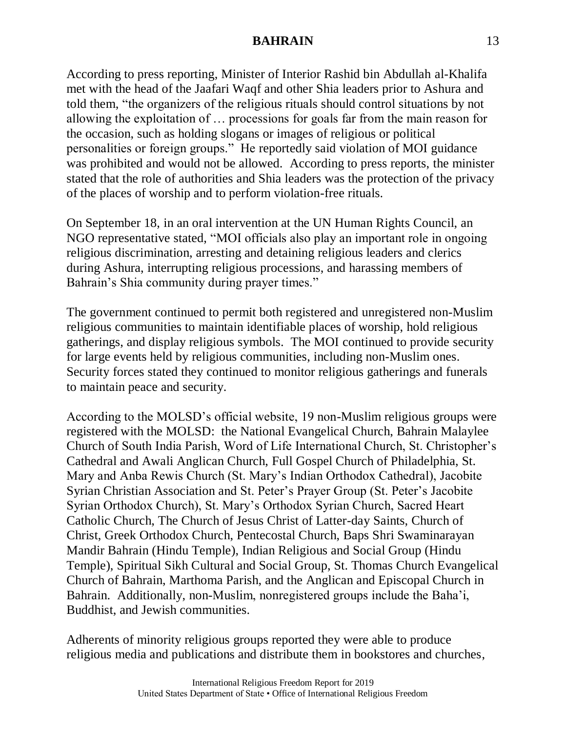According to press reporting, Minister of Interior Rashid bin Abdullah al-Khalifa met with the head of the Jaafari Waqf and other Shia leaders prior to Ashura and told them, "the organizers of the religious rituals should control situations by not allowing the exploitation of … processions for goals far from the main reason for the occasion, such as holding slogans or images of religious or political personalities or foreign groups." He reportedly said violation of MOI guidance was prohibited and would not be allowed. According to press reports, the minister stated that the role of authorities and Shia leaders was the protection of the privacy of the places of worship and to perform violation-free rituals.

On September 18, in an oral intervention at the UN Human Rights Council, an NGO representative stated, "MOI officials also play an important role in ongoing religious discrimination, arresting and detaining religious leaders and clerics during Ashura, interrupting religious processions, and harassing members of Bahrain's Shia community during prayer times."

The government continued to permit both registered and unregistered non-Muslim religious communities to maintain identifiable places of worship, hold religious gatherings, and display religious symbols. The MOI continued to provide security for large events held by religious communities, including non-Muslim ones. Security forces stated they continued to monitor religious gatherings and funerals to maintain peace and security.

According to the MOLSD's official website, 19 non-Muslim religious groups were registered with the MOLSD: the National Evangelical Church, Bahrain Malaylee Church of South India Parish, Word of Life International Church, St. Christopher's Cathedral and Awali Anglican Church, Full Gospel Church of Philadelphia, St. Mary and Anba Rewis Church (St. Mary's Indian Orthodox Cathedral), Jacobite Syrian Christian Association and St. Peter's Prayer Group (St. Peter's Jacobite Syrian Orthodox Church), St. Mary's Orthodox Syrian Church, Sacred Heart Catholic Church, The Church of Jesus Christ of Latter-day Saints, Church of Christ, Greek Orthodox Church, Pentecostal Church, Baps Shri Swaminarayan Mandir Bahrain (Hindu Temple), Indian Religious and Social Group (Hindu Temple), Spiritual Sikh Cultural and Social Group, St. Thomas Church Evangelical Church of Bahrain, Marthoma Parish, and the Anglican and Episcopal Church in Bahrain. Additionally, non-Muslim, nonregistered groups include the Baha'i, Buddhist, and Jewish communities.

Adherents of minority religious groups reported they were able to produce religious media and publications and distribute them in bookstores and churches,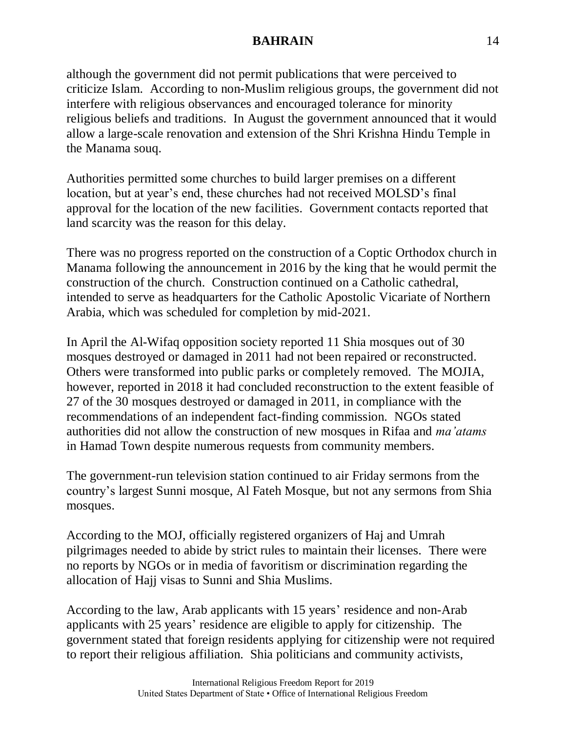although the government did not permit publications that were perceived to criticize Islam. According to non-Muslim religious groups, the government did not interfere with religious observances and encouraged tolerance for minority religious beliefs and traditions. In August the government announced that it would allow a large-scale renovation and extension of the Shri Krishna Hindu Temple in the Manama souq.

Authorities permitted some churches to build larger premises on a different location, but at year's end, these churches had not received MOLSD's final approval for the location of the new facilities. Government contacts reported that land scarcity was the reason for this delay.

There was no progress reported on the construction of a Coptic Orthodox church in Manama following the announcement in 2016 by the king that he would permit the construction of the church. Construction continued on a Catholic cathedral, intended to serve as headquarters for the Catholic Apostolic Vicariate of Northern Arabia, which was scheduled for completion by mid-2021.

In April the Al-Wifaq opposition society reported 11 Shia mosques out of 30 mosques destroyed or damaged in 2011 had not been repaired or reconstructed. Others were transformed into public parks or completely removed. The MOJIA, however, reported in 2018 it had concluded reconstruction to the extent feasible of 27 of the 30 mosques destroyed or damaged in 2011, in compliance with the recommendations of an independent fact-finding commission. NGOs stated authorities did not allow the construction of new mosques in Rifaa and *ma'atams* in Hamad Town despite numerous requests from community members.

The government-run television station continued to air Friday sermons from the country's largest Sunni mosque, Al Fateh Mosque, but not any sermons from Shia mosques.

According to the MOJ, officially registered organizers of Haj and Umrah pilgrimages needed to abide by strict rules to maintain their licenses. There were no reports by NGOs or in media of favoritism or discrimination regarding the allocation of Hajj visas to Sunni and Shia Muslims.

According to the law, Arab applicants with 15 years' residence and non-Arab applicants with 25 years' residence are eligible to apply for citizenship. The government stated that foreign residents applying for citizenship were not required to report their religious affiliation. Shia politicians and community activists,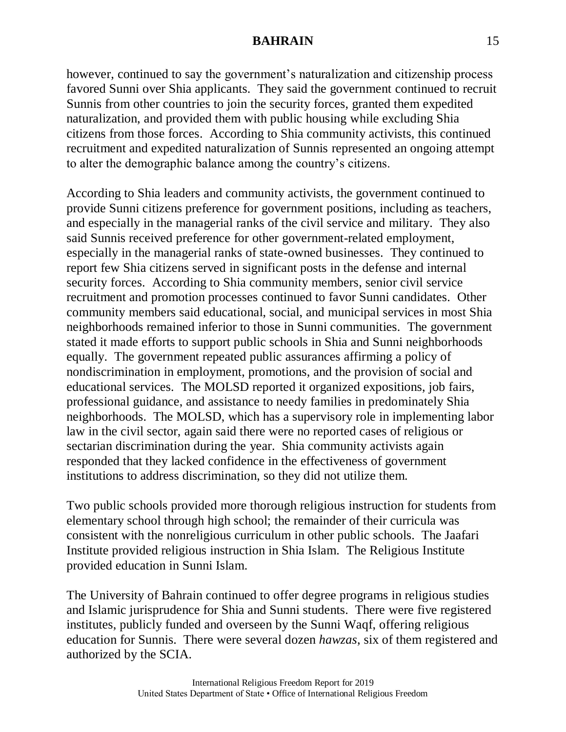however, continued to say the government's naturalization and citizenship process favored Sunni over Shia applicants. They said the government continued to recruit Sunnis from other countries to join the security forces, granted them expedited naturalization, and provided them with public housing while excluding Shia citizens from those forces. According to Shia community activists, this continued recruitment and expedited naturalization of Sunnis represented an ongoing attempt to alter the demographic balance among the country's citizens.

According to Shia leaders and community activists, the government continued to provide Sunni citizens preference for government positions, including as teachers, and especially in the managerial ranks of the civil service and military. They also said Sunnis received preference for other government-related employment, especially in the managerial ranks of state-owned businesses. They continued to report few Shia citizens served in significant posts in the defense and internal security forces. According to Shia community members, senior civil service recruitment and promotion processes continued to favor Sunni candidates. Other community members said educational, social, and municipal services in most Shia neighborhoods remained inferior to those in Sunni communities. The government stated it made efforts to support public schools in Shia and Sunni neighborhoods equally. The government repeated public assurances affirming a policy of nondiscrimination in employment, promotions, and the provision of social and educational services. The MOLSD reported it organized expositions, job fairs, professional guidance, and assistance to needy families in predominately Shia neighborhoods. The MOLSD, which has a supervisory role in implementing labor law in the civil sector, again said there were no reported cases of religious or sectarian discrimination during the year. Shia community activists again responded that they lacked confidence in the effectiveness of government institutions to address discrimination, so they did not utilize them.

Two public schools provided more thorough religious instruction for students from elementary school through high school; the remainder of their curricula was consistent with the nonreligious curriculum in other public schools. The Jaafari Institute provided religious instruction in Shia Islam. The Religious Institute provided education in Sunni Islam.

The University of Bahrain continued to offer degree programs in religious studies and Islamic jurisprudence for Shia and Sunni students. There were five registered institutes, publicly funded and overseen by the Sunni Waqf, offering religious education for Sunnis. There were several dozen *hawzas*, six of them registered and authorized by the SCIA.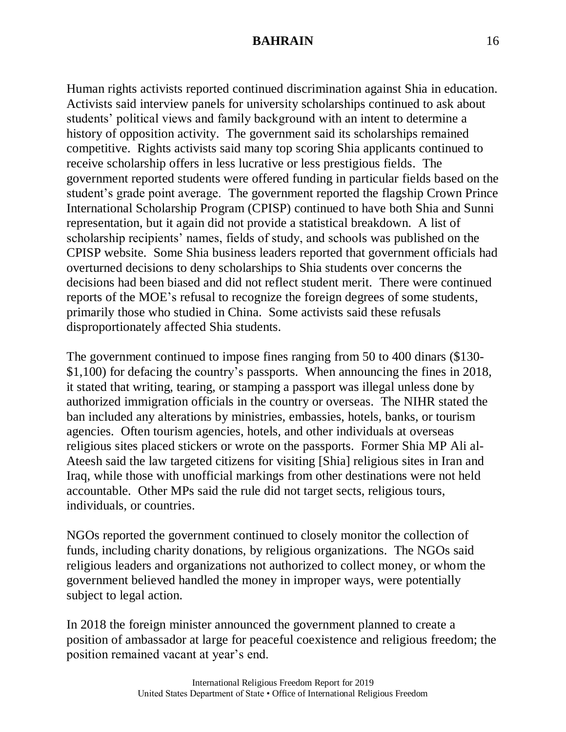Human rights activists reported continued discrimination against Shia in education. Activists said interview panels for university scholarships continued to ask about students' political views and family background with an intent to determine a history of opposition activity. The government said its scholarships remained competitive. Rights activists said many top scoring Shia applicants continued to receive scholarship offers in less lucrative or less prestigious fields. The government reported students were offered funding in particular fields based on the student's grade point average. The government reported the flagship Crown Prince International Scholarship Program (CPISP) continued to have both Shia and Sunni representation, but it again did not provide a statistical breakdown. A list of scholarship recipients' names, fields of study, and schools was published on the CPISP website. Some Shia business leaders reported that government officials had overturned decisions to deny scholarships to Shia students over concerns the decisions had been biased and did not reflect student merit. There were continued reports of the MOE's refusal to recognize the foreign degrees of some students, primarily those who studied in China. Some activists said these refusals disproportionately affected Shia students.

The government continued to impose fines ranging from 50 to 400 dinars (\$130- \$1,100) for defacing the country's passports. When announcing the fines in 2018, it stated that writing, tearing, or stamping a passport was illegal unless done by authorized immigration officials in the country or overseas. The NIHR stated the ban included any alterations by ministries, embassies, hotels, banks, or tourism agencies. Often tourism agencies, hotels, and other individuals at overseas religious sites placed stickers or wrote on the passports. Former Shia MP Ali al-Ateesh said the law targeted citizens for visiting [Shia] religious sites in Iran and Iraq, while those with unofficial markings from other destinations were not held accountable. Other MPs said the rule did not target sects, religious tours, individuals, or countries.

NGOs reported the government continued to closely monitor the collection of funds, including charity donations, by religious organizations. The NGOs said religious leaders and organizations not authorized to collect money, or whom the government believed handled the money in improper ways, were potentially subject to legal action.

In 2018 the foreign minister announced the government planned to create a position of ambassador at large for peaceful coexistence and religious freedom; the position remained vacant at year's end.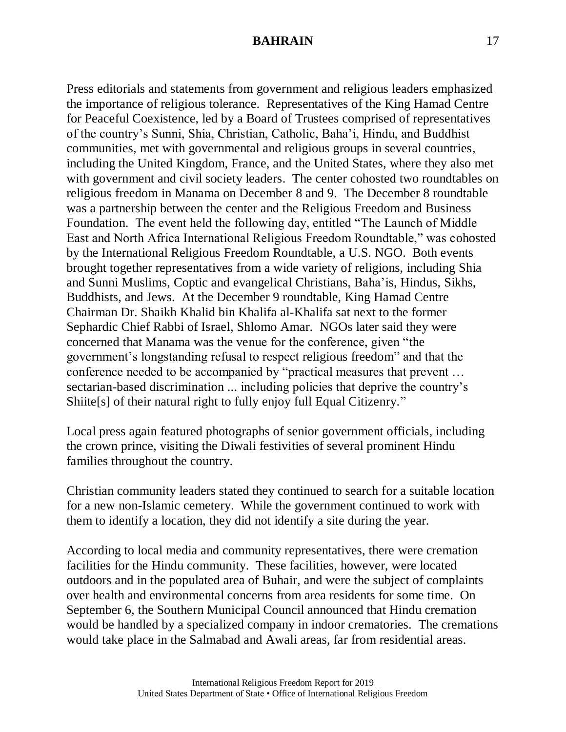Press editorials and statements from government and religious leaders emphasized the importance of religious tolerance. Representatives of the King Hamad Centre for Peaceful Coexistence, led by a Board of Trustees comprised of representatives of the country's Sunni, Shia, Christian, Catholic, Baha'i, Hindu, and Buddhist communities, met with governmental and religious groups in several countries, including the United Kingdom, France, and the United States, where they also met with government and civil society leaders. The center cohosted two roundtables on religious freedom in Manama on December 8 and 9. The December 8 roundtable was a partnership between the center and the Religious Freedom and Business Foundation. The event held the following day, entitled "The Launch of Middle East and North Africa International Religious Freedom Roundtable," was cohosted by the International Religious Freedom Roundtable, a U.S. NGO. Both events brought together representatives from a wide variety of religions, including Shia and Sunni Muslims, Coptic and evangelical Christians, Baha'is, Hindus, Sikhs, Buddhists, and Jews. At the December 9 roundtable, King Hamad Centre Chairman Dr. Shaikh Khalid bin Khalifa al-Khalifa sat next to the former Sephardic Chief Rabbi of Israel, Shlomo Amar. NGOs later said they were concerned that Manama was the venue for the conference, given "the government's longstanding refusal to respect religious freedom" and that the conference needed to be accompanied by "practical measures that prevent … sectarian-based discrimination ... including policies that deprive the country's Shiite[s] of their natural right to fully enjoy full Equal Citizenry."

Local press again featured photographs of senior government officials, including the crown prince, visiting the Diwali festivities of several prominent Hindu families throughout the country.

Christian community leaders stated they continued to search for a suitable location for a new non-Islamic cemetery. While the government continued to work with them to identify a location, they did not identify a site during the year.

According to local media and community representatives, there were cremation facilities for the Hindu community. These facilities, however, were located outdoors and in the populated area of Buhair, and were the subject of complaints over health and environmental concerns from area residents for some time. On September 6, the Southern Municipal Council announced that Hindu cremation would be handled by a specialized company in indoor crematories. The cremations would take place in the Salmabad and Awali areas, far from residential areas.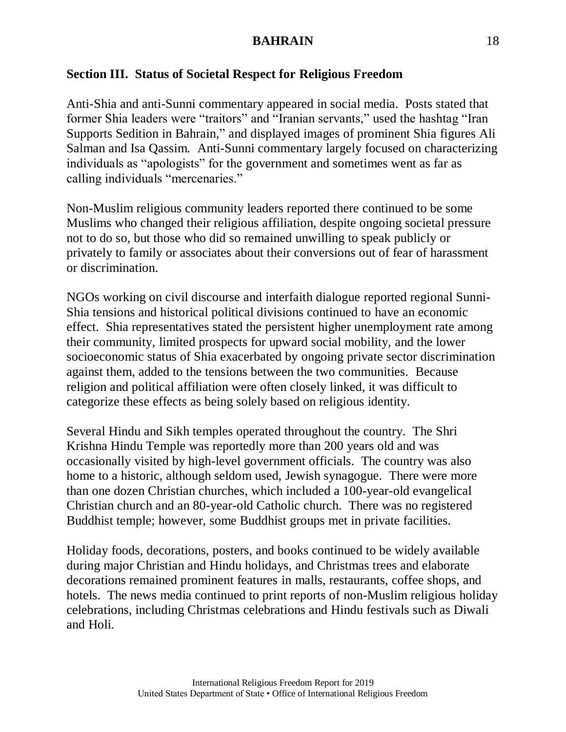# **Section III. Status of Societal Respect for Religious Freedom**

Anti-Shia and anti-Sunni commentary appeared in social media. Posts stated that former Shia leaders were "traitors" and "Iranian servants," used the hashtag "Iran Supports Sedition in Bahrain," and displayed images of prominent Shia figures Ali Salman and Isa Qassim. Anti-Sunni commentary largely focused on characterizing individuals as "apologists" for the government and sometimes went as far as calling individuals "mercenaries."

Non-Muslim religious community leaders reported there continued to be some Muslims who changed their religious affiliation, despite ongoing societal pressure not to do so, but those who did so remained unwilling to speak publicly or privately to family or associates about their conversions out of fear of harassment or discrimination.

NGOs working on civil discourse and interfaith dialogue reported regional Sunni-Shia tensions and historical political divisions continued to have an economic effect. Shia representatives stated the persistent higher unemployment rate among their community, limited prospects for upward social mobility, and the lower socioeconomic status of Shia exacerbated by ongoing private sector discrimination against them, added to the tensions between the two communities. Because religion and political affiliation were often closely linked, it was difficult to categorize these effects as being solely based on religious identity.

Several Hindu and Sikh temples operated throughout the country. The Shri Krishna Hindu Temple was reportedly more than 200 years old and was occasionally visited by high-level government officials. The country was also home to a historic, although seldom used, Jewish synagogue. There were more than one dozen Christian churches, which included a 100-year-old evangelical Christian church and an 80-year-old Catholic church. There was no registered Buddhist temple; however, some Buddhist groups met in private facilities.

Holiday foods, decorations, posters, and books continued to be widely available during major Christian and Hindu holidays, and Christmas trees and elaborate decorations remained prominent features in malls, restaurants, coffee shops, and hotels. The news media continued to print reports of non-Muslim religious holiday celebrations, including Christmas celebrations and Hindu festivals such as Diwali and Holi.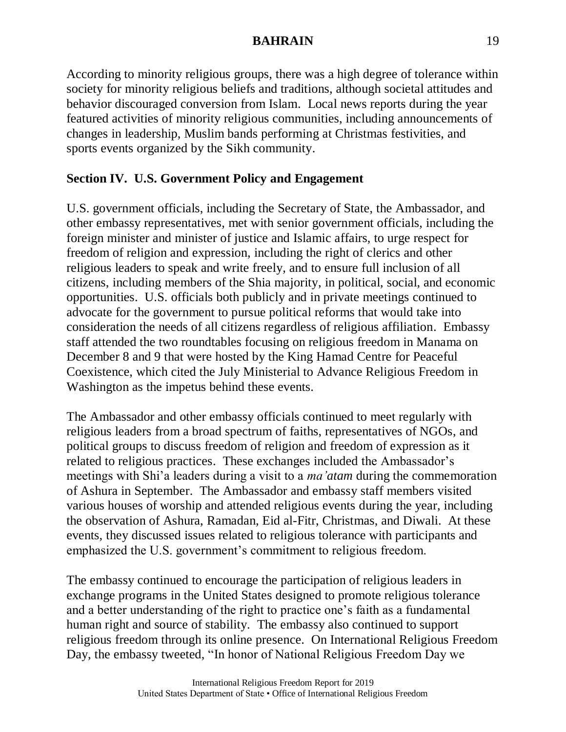According to minority religious groups, there was a high degree of tolerance within society for minority religious beliefs and traditions, although societal attitudes and behavior discouraged conversion from Islam. Local news reports during the year featured activities of minority religious communities, including announcements of changes in leadership, Muslim bands performing at Christmas festivities, and sports events organized by the Sikh community.

# **Section IV. U.S. Government Policy and Engagement**

U.S. government officials, including the Secretary of State, the Ambassador, and other embassy representatives, met with senior government officials, including the foreign minister and minister of justice and Islamic affairs, to urge respect for freedom of religion and expression, including the right of clerics and other religious leaders to speak and write freely, and to ensure full inclusion of all citizens, including members of the Shia majority, in political, social, and economic opportunities. U.S. officials both publicly and in private meetings continued to advocate for the government to pursue political reforms that would take into consideration the needs of all citizens regardless of religious affiliation. Embassy staff attended the two roundtables focusing on religious freedom in Manama on December 8 and 9 that were hosted by the King Hamad Centre for Peaceful Coexistence, which cited the July Ministerial to Advance Religious Freedom in Washington as the impetus behind these events.

The Ambassador and other embassy officials continued to meet regularly with religious leaders from a broad spectrum of faiths, representatives of NGOs, and political groups to discuss freedom of religion and freedom of expression as it related to religious practices. These exchanges included the Ambassador's meetings with Shi'a leaders during a visit to a *ma'atam* during the commemoration of Ashura in September. The Ambassador and embassy staff members visited various houses of worship and attended religious events during the year, including the observation of Ashura, Ramadan, Eid al-Fitr, Christmas, and Diwali. At these events, they discussed issues related to religious tolerance with participants and emphasized the U.S. government's commitment to religious freedom.

The embassy continued to encourage the participation of religious leaders in exchange programs in the United States designed to promote religious tolerance and a better understanding of the right to practice one's faith as a fundamental human right and source of stability. The embassy also continued to support religious freedom through its online presence. On International Religious Freedom Day, the embassy tweeted, "In honor of National Religious Freedom Day we